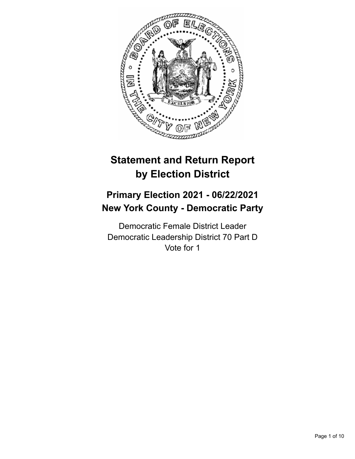

# **Statement and Return Report by Election District**

## **Primary Election 2021 - 06/22/2021 New York County - Democratic Party**

Democratic Female District Leader Democratic Leadership District 70 Part D Vote for 1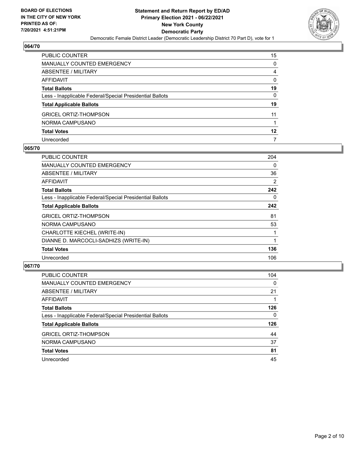

| PUBLIC COUNTER                                           | 15       |
|----------------------------------------------------------|----------|
| <b>MANUALLY COUNTED EMERGENCY</b>                        | 0        |
| ABSENTEE / MILITARY                                      | 4        |
| AFFIDAVIT                                                | 0        |
| <b>Total Ballots</b>                                     | 19       |
| Less - Inapplicable Federal/Special Presidential Ballots | $\Omega$ |
| <b>Total Applicable Ballots</b>                          | 19       |
| <b>GRICEL ORTIZ-THOMPSON</b>                             | 11       |
| NORMA CAMPUSANO                                          |          |
| <b>Total Votes</b>                                       | 12       |
| Unrecorded                                               | 7        |

## **065/70**

| <b>PUBLIC COUNTER</b>                                    | 204 |
|----------------------------------------------------------|-----|
| <b>MANUALLY COUNTED EMERGENCY</b>                        | 0   |
| ABSENTEE / MILITARY                                      | 36  |
| AFFIDAVIT                                                | 2   |
| <b>Total Ballots</b>                                     | 242 |
| Less - Inapplicable Federal/Special Presidential Ballots | 0   |
| <b>Total Applicable Ballots</b>                          | 242 |
| <b>GRICEL ORTIZ-THOMPSON</b>                             | 81  |
| NORMA CAMPUSANO                                          | 53  |
| CHARLOTTE KIECHEL (WRITE-IN)                             |     |
| DIANNE D. MARCOCLI-SADHIZS (WRITE-IN)                    |     |
| <b>Total Votes</b>                                       | 136 |
| Unrecorded                                               | 106 |

| PUBLIC COUNTER                                           | 104      |
|----------------------------------------------------------|----------|
| <b>MANUALLY COUNTED EMERGENCY</b>                        | $\Omega$ |
| ABSENTEE / MILITARY                                      | 21       |
| AFFIDAVIT                                                |          |
| <b>Total Ballots</b>                                     | 126      |
| Less - Inapplicable Federal/Special Presidential Ballots | $\Omega$ |
| <b>Total Applicable Ballots</b>                          | 126      |
| <b>GRICEL ORTIZ-THOMPSON</b>                             | 44       |
| NORMA CAMPUSANO                                          | 37       |
| <b>Total Votes</b>                                       | 81       |
| Unrecorded                                               | 45       |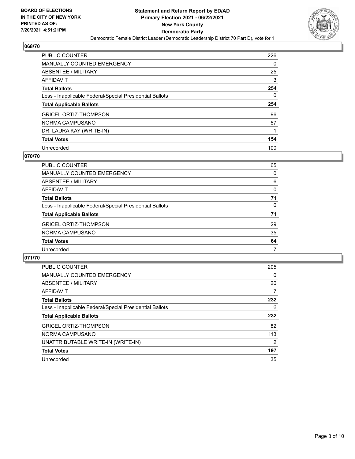

| <b>PUBLIC COUNTER</b>                                    | 226 |
|----------------------------------------------------------|-----|
| <b>MANUALLY COUNTED EMERGENCY</b>                        | 0   |
| ABSENTEE / MILITARY                                      | 25  |
| AFFIDAVIT                                                | 3   |
| <b>Total Ballots</b>                                     | 254 |
| Less - Inapplicable Federal/Special Presidential Ballots | 0   |
|                                                          |     |
| <b>Total Applicable Ballots</b>                          | 254 |
| <b>GRICEL ORTIZ-THOMPSON</b>                             | 96  |
| NORMA CAMPUSANO                                          | 57  |
| DR. LAURA KAY (WRITE-IN)                                 |     |
| <b>Total Votes</b>                                       | 154 |

#### **070/70**

| PUBLIC COUNTER                                           | 65       |
|----------------------------------------------------------|----------|
| <b>MANUALLY COUNTED EMERGENCY</b>                        | $\Omega$ |
| ABSENTEE / MILITARY                                      | 6        |
| AFFIDAVIT                                                | $\Omega$ |
| <b>Total Ballots</b>                                     | 71       |
| Less - Inapplicable Federal/Special Presidential Ballots | $\Omega$ |
| <b>Total Applicable Ballots</b>                          | 71       |
| <b>GRICEL ORTIZ-THOMPSON</b>                             | 29       |
| NORMA CAMPUSANO                                          | 35       |
| <b>Total Votes</b>                                       | 64       |
| Unrecorded                                               |          |

| <b>PUBLIC COUNTER</b>                                    | 205            |
|----------------------------------------------------------|----------------|
| <b>MANUALLY COUNTED EMERGENCY</b>                        | $\Omega$       |
| <b>ABSENTEE / MILITARY</b>                               | 20             |
| <b>AFFIDAVIT</b>                                         | 7              |
| <b>Total Ballots</b>                                     | 232            |
| Less - Inapplicable Federal/Special Presidential Ballots | $\Omega$       |
| <b>Total Applicable Ballots</b>                          | 232            |
| <b>GRICEL ORTIZ-THOMPSON</b>                             | 82             |
| NORMA CAMPUSANO                                          | 113            |
| UNATTRIBUTABLE WRITE-IN (WRITE-IN)                       | $\overline{2}$ |
| <b>Total Votes</b>                                       | 197            |
| Unrecorded                                               | 35             |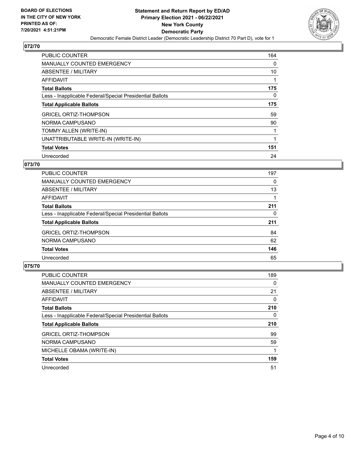

| <b>PUBLIC COUNTER</b>                                    | 164      |
|----------------------------------------------------------|----------|
| <b>MANUALLY COUNTED EMERGENCY</b>                        | 0        |
| ABSENTEE / MILITARY                                      | 10       |
| <b>AFFIDAVIT</b>                                         |          |
| <b>Total Ballots</b>                                     | 175      |
| Less - Inapplicable Federal/Special Presidential Ballots | $\Omega$ |
| <b>Total Applicable Ballots</b>                          | 175      |
| <b>GRICEL ORTIZ-THOMPSON</b>                             | 59       |
| NORMA CAMPUSANO                                          | 90       |
| TOMMY ALLEN (WRITE-IN)                                   |          |
| UNATTRIBUTABLE WRITE-IN (WRITE-IN)                       | 1        |
| <b>Total Votes</b>                                       | 151      |
| Unrecorded                                               | 24       |

## **073/70**

| PUBLIC COUNTER                                           | 197 |
|----------------------------------------------------------|-----|
| <b>MANUALLY COUNTED EMERGENCY</b>                        | 0   |
| ABSENTEE / MILITARY                                      | 13  |
| <b>AFFIDAVIT</b>                                         |     |
| <b>Total Ballots</b>                                     | 211 |
| Less - Inapplicable Federal/Special Presidential Ballots | 0   |
| <b>Total Applicable Ballots</b>                          | 211 |
| <b>GRICEL ORTIZ-THOMPSON</b>                             | 84  |
| NORMA CAMPUSANO                                          | 62  |
| <b>Total Votes</b>                                       | 146 |
| Unrecorded                                               | 65  |

| PUBLIC COUNTER                                           | 189      |
|----------------------------------------------------------|----------|
| <b>MANUALLY COUNTED EMERGENCY</b>                        | $\Omega$ |
| ABSENTEE / MILITARY                                      | 21       |
| <b>AFFIDAVIT</b>                                         | $\Omega$ |
| <b>Total Ballots</b>                                     | 210      |
| Less - Inapplicable Federal/Special Presidential Ballots | $\Omega$ |
| <b>Total Applicable Ballots</b>                          | 210      |
| <b>GRICEL ORTIZ-THOMPSON</b>                             | 99       |
| NORMA CAMPUSANO                                          | 59       |
| MICHELLE OBAMA (WRITE-IN)                                |          |
| <b>Total Votes</b>                                       | 159      |
| Unrecorded                                               | 51       |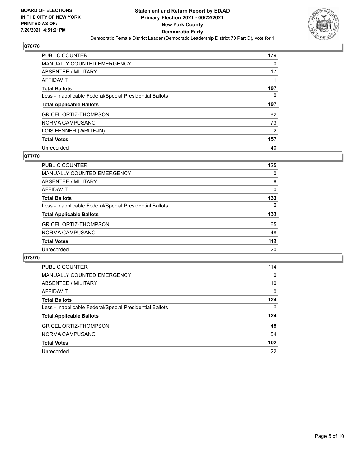

| <b>PUBLIC COUNTER</b>                                    | 179            |
|----------------------------------------------------------|----------------|
| <b>MANUALLY COUNTED EMERGENCY</b>                        | 0              |
| ABSENTEE / MILITARY                                      | 17             |
| AFFIDAVIT                                                |                |
| <b>Total Ballots</b>                                     | 197            |
| Less - Inapplicable Federal/Special Presidential Ballots | 0              |
|                                                          |                |
| <b>Total Applicable Ballots</b>                          | 197            |
| <b>GRICEL ORTIZ-THOMPSON</b>                             | 82             |
| NORMA CAMPUSANO                                          | 73             |
| LOIS FENNER (WRITE-IN)                                   | $\overline{2}$ |
| <b>Total Votes</b>                                       | 157            |

#### **077/70**

| <b>PUBLIC COUNTER</b>                                    | 125      |
|----------------------------------------------------------|----------|
| <b>MANUALLY COUNTED EMERGENCY</b>                        | 0        |
| ABSENTEE / MILITARY                                      | 8        |
| AFFIDAVIT                                                | 0        |
| <b>Total Ballots</b>                                     | 133      |
| Less - Inapplicable Federal/Special Presidential Ballots | $\Omega$ |
| <b>Total Applicable Ballots</b>                          | 133      |
| <b>GRICEL ORTIZ-THOMPSON</b>                             | 65       |
| NORMA CAMPUSANO                                          | 48       |
| <b>Total Votes</b>                                       | 113      |
| Unrecorded                                               | 20       |

| <b>PUBLIC COUNTER</b>                                    | 114      |
|----------------------------------------------------------|----------|
| <b>MANUALLY COUNTED EMERGENCY</b>                        | $\Omega$ |
| ABSENTEE / MILITARY                                      | 10       |
| AFFIDAVIT                                                | $\Omega$ |
| <b>Total Ballots</b>                                     | 124      |
| Less - Inapplicable Federal/Special Presidential Ballots | $\Omega$ |
| <b>Total Applicable Ballots</b>                          | 124      |
| <b>GRICEL ORTIZ-THOMPSON</b>                             | 48       |
| NORMA CAMPUSANO                                          | 54       |
| <b>Total Votes</b>                                       | 102      |
| Unrecorded                                               | 22       |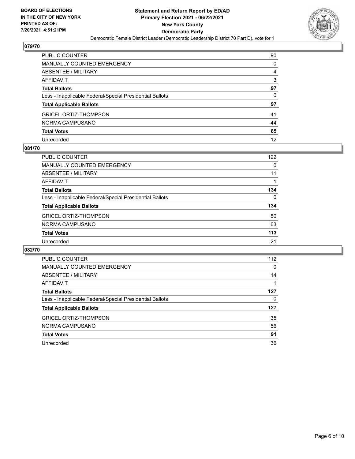

| PUBLIC COUNTER                                           | 90 |
|----------------------------------------------------------|----|
| <b>MANUALLY COUNTED EMERGENCY</b>                        | 0  |
| <b>ABSENTEE / MILITARY</b>                               | 4  |
| <b>AFFIDAVIT</b>                                         | 3  |
| <b>Total Ballots</b>                                     | 97 |
| Less - Inapplicable Federal/Special Presidential Ballots | 0  |
| <b>Total Applicable Ballots</b>                          | 97 |
| <b>GRICEL ORTIZ-THOMPSON</b>                             | 41 |
| NORMA CAMPUSANO                                          | 44 |
| <b>Total Votes</b>                                       | 85 |
| Unrecorded                                               | 12 |

#### **081/70**

| PUBLIC COUNTER                                           | 122 |
|----------------------------------------------------------|-----|
| <b>MANUALLY COUNTED EMERGENCY</b>                        | 0   |
| ABSENTEE / MILITARY                                      | 11  |
| AFFIDAVIT                                                |     |
| <b>Total Ballots</b>                                     | 134 |
| Less - Inapplicable Federal/Special Presidential Ballots | 0   |
| <b>Total Applicable Ballots</b>                          | 134 |
| <b>GRICEL ORTIZ-THOMPSON</b>                             | 50  |
| NORMA CAMPUSANO                                          | 63  |
| <b>Total Votes</b>                                       | 113 |
| Unrecorded                                               | 21  |

| PUBLIC COUNTER                                           | 112 |
|----------------------------------------------------------|-----|
| <b>MANUALLY COUNTED EMERGENCY</b>                        | 0   |
| ABSENTEE / MILITARY                                      | 14  |
| <b>AFFIDAVIT</b>                                         |     |
| <b>Total Ballots</b>                                     | 127 |
| Less - Inapplicable Federal/Special Presidential Ballots | 0   |
| <b>Total Applicable Ballots</b>                          | 127 |
| <b>GRICEL ORTIZ-THOMPSON</b>                             | 35  |
| NORMA CAMPUSANO                                          | 56  |
| <b>Total Votes</b>                                       | 91  |
| Unrecorded                                               | 36  |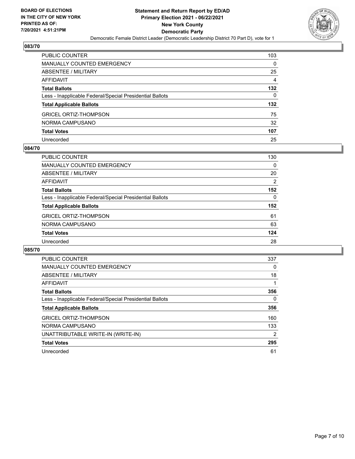

| <b>PUBLIC COUNTER</b>                                    | 103      |
|----------------------------------------------------------|----------|
| <b>MANUALLY COUNTED EMERGENCY</b>                        | $\Omega$ |
| ABSENTEE / MILITARY                                      | 25       |
| <b>AFFIDAVIT</b>                                         | 4        |
| <b>Total Ballots</b>                                     | 132      |
| Less - Inapplicable Federal/Special Presidential Ballots | 0        |
| <b>Total Applicable Ballots</b>                          | 132      |
| <b>GRICEL ORTIZ-THOMPSON</b>                             | 75       |
| NORMA CAMPUSANO                                          | 32       |
| <b>Total Votes</b>                                       | 107      |
| Unrecorded                                               | 25       |

#### **084/70**

| PUBLIC COUNTER                                           | 130 |
|----------------------------------------------------------|-----|
| <b>MANUALLY COUNTED EMERGENCY</b>                        | 0   |
| ABSENTEE / MILITARY                                      | 20  |
| AFFIDAVIT                                                | 2   |
| <b>Total Ballots</b>                                     | 152 |
| Less - Inapplicable Federal/Special Presidential Ballots | 0   |
| <b>Total Applicable Ballots</b>                          | 152 |
| <b>GRICEL ORTIZ-THOMPSON</b>                             | 61  |
| NORMA CAMPUSANO                                          | 63  |
| <b>Total Votes</b>                                       | 124 |
| Unrecorded                                               | 28  |

| PUBLIC COUNTER                                           | 337 |
|----------------------------------------------------------|-----|
| <b>MANUALLY COUNTED EMERGENCY</b>                        | 0   |
| ABSENTEE / MILITARY                                      | 18  |
| AFFIDAVIT                                                |     |
| <b>Total Ballots</b>                                     | 356 |
| Less - Inapplicable Federal/Special Presidential Ballots | 0   |
| <b>Total Applicable Ballots</b>                          | 356 |
| <b>GRICEL ORTIZ-THOMPSON</b>                             | 160 |
| NORMA CAMPUSANO                                          | 133 |
| UNATTRIBUTABLE WRITE-IN (WRITE-IN)                       | 2   |
| <b>Total Votes</b>                                       | 295 |
| Unrecorded                                               | 61  |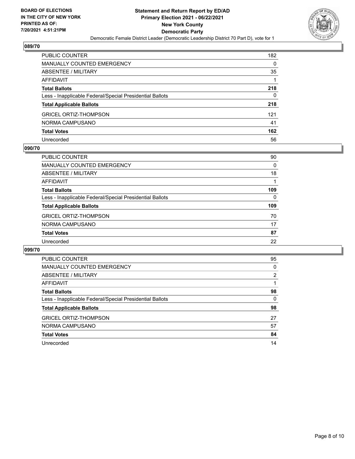

| PUBLIC COUNTER                                           | 182 |
|----------------------------------------------------------|-----|
| <b>MANUALLY COUNTED EMERGENCY</b>                        | 0   |
| ABSENTEE / MILITARY                                      | 35  |
| AFFIDAVIT                                                |     |
| <b>Total Ballots</b>                                     | 218 |
| Less - Inapplicable Federal/Special Presidential Ballots | 0   |
| <b>Total Applicable Ballots</b>                          | 218 |
| <b>GRICEL ORTIZ-THOMPSON</b>                             | 121 |
| NORMA CAMPUSANO                                          | 41  |
| <b>Total Votes</b>                                       | 162 |
| Unrecorded                                               | 56  |

#### **090/70**

| PUBLIC COUNTER                                           | 90  |
|----------------------------------------------------------|-----|
| <b>MANUALLY COUNTED EMERGENCY</b>                        | 0   |
| ABSENTEE / MILITARY                                      | 18  |
| AFFIDAVIT                                                |     |
| <b>Total Ballots</b>                                     | 109 |
| Less - Inapplicable Federal/Special Presidential Ballots | 0   |
| <b>Total Applicable Ballots</b>                          | 109 |
| <b>GRICEL ORTIZ-THOMPSON</b>                             | 70  |
| NORMA CAMPUSANO                                          | 17  |
| <b>Total Votes</b>                                       | 87  |
| Unrecorded                                               | 22  |

| <b>PUBLIC COUNTER</b>                                    | 95             |
|----------------------------------------------------------|----------------|
| MANUALLY COUNTED EMERGENCY                               | 0              |
| ABSENTEE / MILITARY                                      | $\overline{2}$ |
| AFFIDAVIT                                                |                |
| <b>Total Ballots</b>                                     | 98             |
| Less - Inapplicable Federal/Special Presidential Ballots | 0              |
| <b>Total Applicable Ballots</b>                          | 98             |
| <b>GRICEL ORTIZ-THOMPSON</b>                             | 27             |
| NORMA CAMPUSANO                                          | 57             |
| <b>Total Votes</b>                                       | 84             |
| Unrecorded                                               | 14             |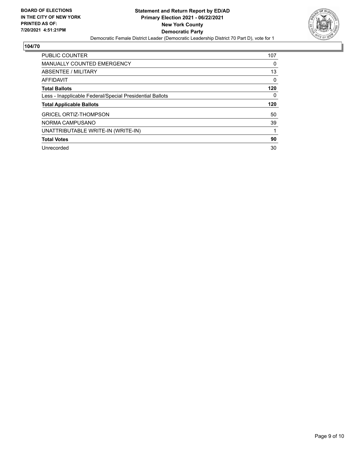

| <b>PUBLIC COUNTER</b>                                    | 107 |
|----------------------------------------------------------|-----|
| <b>MANUALLY COUNTED EMERGENCY</b>                        | 0   |
| ABSENTEE / MILITARY                                      | 13  |
| AFFIDAVIT                                                | 0   |
| <b>Total Ballots</b>                                     | 120 |
| Less - Inapplicable Federal/Special Presidential Ballots | 0   |
|                                                          |     |
| <b>Total Applicable Ballots</b>                          | 120 |
| <b>GRICEL ORTIZ-THOMPSON</b>                             | 50  |
| NORMA CAMPUSANO                                          | 39  |
| UNATTRIBUTABLE WRITE-IN (WRITE-IN)                       |     |
| <b>Total Votes</b>                                       | 90  |